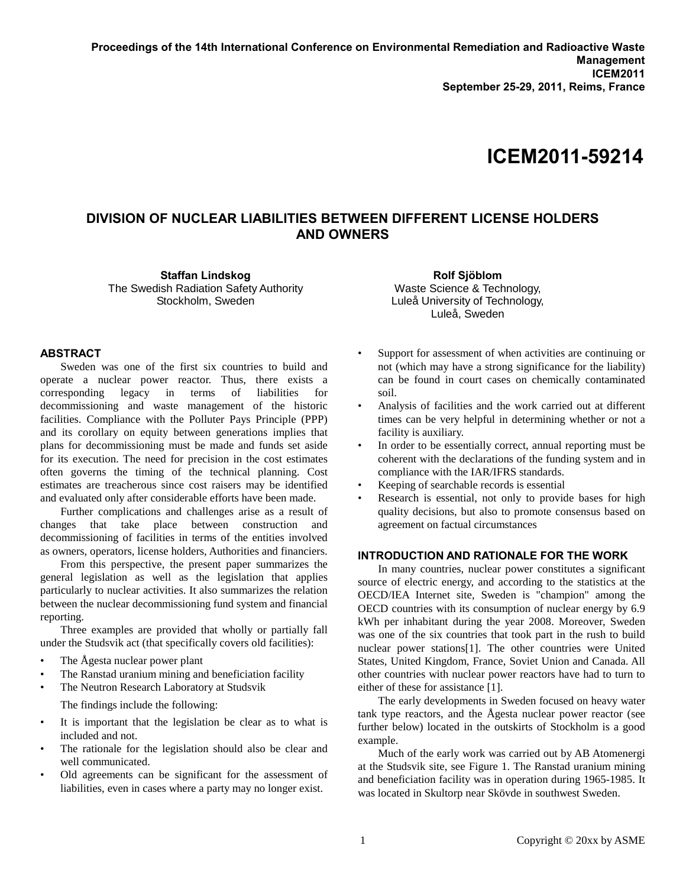# **ICEM2011-59214**

# **DIVISION OF NUCLEAR LIABILITIES BETWEEN DIFFERENT LICENSE HOLDERS AND OWNERS**

**Staffan Lindskog** The Swedish Radiation Safety Authority Stockholm, Sweden

**ABSTRACT** 

Sweden was one of the first six countries to build and operate a nuclear power reactor. Thus, there exists a corresponding legacy in terms of liabilities for decommissioning and waste management of the historic facilities. Compliance with the Polluter Pays Principle (PPP) and its corollary on equity between generations implies that plans for decommissioning must be made and funds set aside for its execution. The need for precision in the cost estimates often governs the timing of the technical planning. Cost estimates are treacherous since cost raisers may be identified and evaluated only after considerable efforts have been made.

Further complications and challenges arise as a result of changes that take place between construction and decommissioning of facilities in terms of the entities involved as owners, operators, license holders, Authorities and financiers.

From this perspective, the present paper summarizes the general legislation as well as the legislation that applies particularly to nuclear activities. It also summarizes the relation between the nuclear decommissioning fund system and financial reporting.

Three examples are provided that wholly or partially fall under the Studsvik act (that specifically covers old facilities):

- The Ågesta nuclear power plant
- The Ranstad uranium mining and beneficiation facility
- The Neutron Research Laboratory at Studsvik

The findings include the following:

- It is important that the legislation be clear as to what is included and not.
- The rationale for the legislation should also be clear and well communicated.
- Old agreements can be significant for the assessment of liabilities, even in cases where a party may no longer exist.

**Rolf Sjöblom** Waste Science & Technology, Luleå University of Technology, Luleå, Sweden

- Support for assessment of when activities are continuing or not (which may have a strong significance for the liability) can be found in court cases on chemically contaminated soil.
- Analysis of facilities and the work carried out at different times can be very helpful in determining whether or not a facility is auxiliary.
- In order to be essentially correct, annual reporting must be coherent with the declarations of the funding system and in compliance with the IAR/IFRS standards.
- Keeping of searchable records is essential
- Research is essential, not only to provide bases for high quality decisions, but also to promote consensus based on agreement on factual circumstances

# **INTRODUCTION AND RATIONALE FOR THE WORK**

In many countries, nuclear power constitutes a significant source of electric energy, and according to the statistics at the OECD/IEA Internet site, Sweden is "champion" among the OECD countries with its consumption of nuclear energy by 6.9 kWh per inhabitant during the year 2008. Moreover, Sweden was one of the six countries that took part in the rush to build nuclear power stations[1]. The other countries were United States, United Kingdom, France, Soviet Union and Canada. All other countries with nuclear power reactors have had to turn to either of these for assistance [1].

The early developments in Sweden focused on heavy water tank type reactors, and the Ågesta nuclear power reactor (see further below) located in the outskirts of Stockholm is a good example.

Much of the early work was carried out by AB Atomenergi at the Studsvik site, see Figure 1. The Ranstad uranium mining and beneficiation facility was in operation during 1965-1985. It was located in Skultorp near Skövde in southwest Sweden.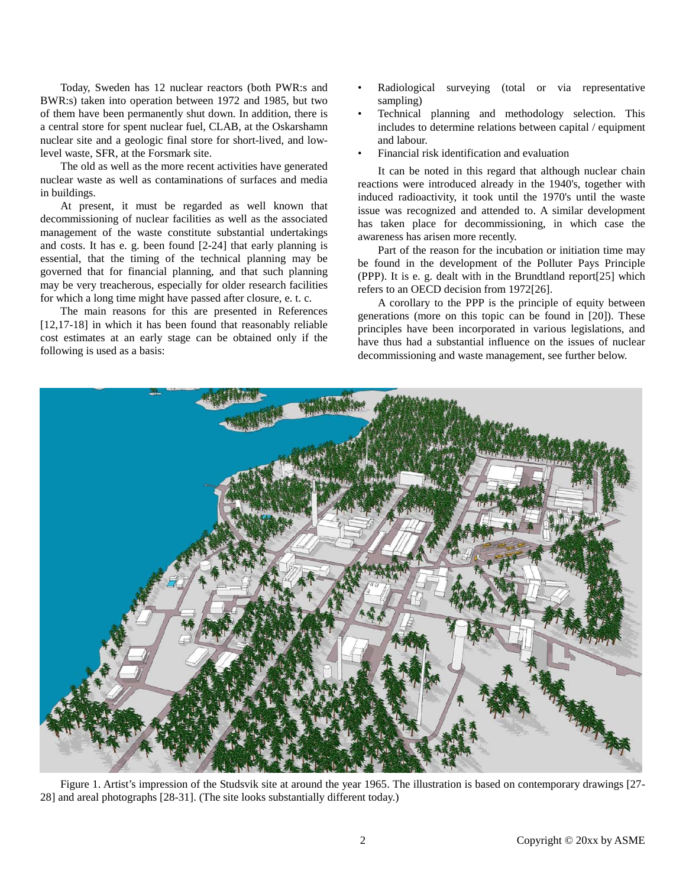Today, Sweden has 12 nuclear reactors (both PWR:s and BWR:s) taken into operation between 1972 and 1985, but two of them have been permanently shut down. In addition, there is a central store for spent nuclear fuel, CLAB, at the Oskarshamn nuclear site and a geologic final store for short-lived, and lowlevel waste, SFR, at the Forsmark site.

The old as well as the more recent activities have generated nuclear waste as well as contaminations of surfaces and media in buildings.

At present, it must be regarded as well known that decommissioning of nuclear facilities as well as the associated management of the waste constitute substantial undertakings and costs. It has e. g. been found [2-24] that early planning is essential, that the timing of the technical planning may be governed that for financial planning, and that such planning may be very treacherous, especially for older research facilities for which a long time might have passed after closure, e. t. c.

The main reasons for this are presented in References [12,17-18] in which it has been found that reasonably reliable cost estimates at an early stage can be obtained only if the following is used as a basis:

- Radiological surveying (total or via representative sampling)
- Technical planning and methodology selection. This includes to determine relations between capital / equipment and labour.
- Financial risk identification and evaluation

It can be noted in this regard that although nuclear chain reactions were introduced already in the 1940's, together with induced radioactivity, it took until the 1970's until the waste issue was recognized and attended to. A similar development has taken place for decommissioning, in which case the awareness has arisen more recently.

Part of the reason for the incubation or initiation time may be found in the development of the Polluter Pays Principle (PPP). It is e. g. dealt with in the Brundtland report[25] which refers to an OECD decision from 1972[26].

A corollary to the PPP is the principle of equity between generations (more on this topic can be found in [20]). These principles have been incorporated in various legislations, and have thus had a substantial influence on the issues of nuclear decommissioning and waste management, see further below.



Figure 1. Artist's impression of the Studsvik site at around the year 1965. The illustration is based on contemporary drawings [27- 28] and areal photographs [28-31]. (The site looks substantially different today.)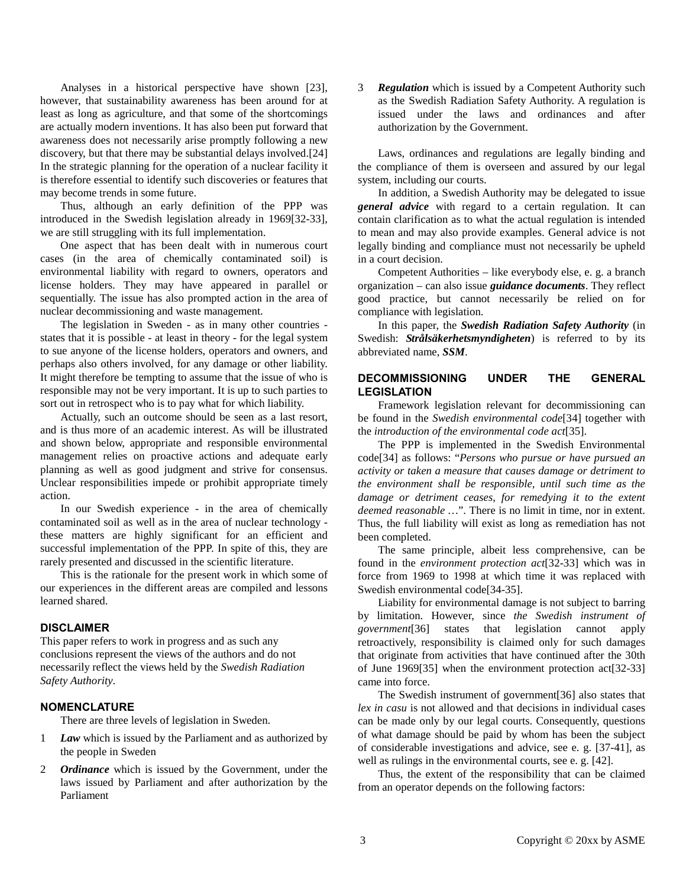Analyses in a historical perspective have shown [23], however, that sustainability awareness has been around for at least as long as agriculture, and that some of the shortcomings are actually modern inventions. It has also been put forward that awareness does not necessarily arise promptly following a new discovery, but that there may be substantial delays involved.[24] In the strategic planning for the operation of a nuclear facility it is therefore essential to identify such discoveries or features that may become trends in some future.

Thus, although an early definition of the PPP was introduced in the Swedish legislation already in 1969[32-33], we are still struggling with its full implementation.

One aspect that has been dealt with in numerous court cases (in the area of chemically contaminated soil) is environmental liability with regard to owners, operators and license holders. They may have appeared in parallel or sequentially. The issue has also prompted action in the area of nuclear decommissioning and waste management.

The legislation in Sweden - as in many other countries states that it is possible - at least in theory - for the legal system to sue anyone of the license holders, operators and owners, and perhaps also others involved, for any damage or other liability. It might therefore be tempting to assume that the issue of who is responsible may not be very important. It is up to such parties to sort out in retrospect who is to pay what for which liability.

Actually, such an outcome should be seen as a last resort, and is thus more of an academic interest. As will be illustrated and shown below, appropriate and responsible environmental management relies on proactive actions and adequate early planning as well as good judgment and strive for consensus. Unclear responsibilities impede or prohibit appropriate timely action.

In our Swedish experience - in the area of chemically contaminated soil as well as in the area of nuclear technology these matters are highly significant for an efficient and successful implementation of the PPP. In spite of this, they are rarely presented and discussed in the scientific literature.

This is the rationale for the present work in which some of our experiences in the different areas are compiled and lessons learned shared.

# **DISCLAIMER**

This paper refers to work in progress and as such any conclusions represent the views of the authors and do not necessarily reflect the views held by the *Swedish Radiation Safety Authority*.

#### **NOMENCLATURE**

There are three levels of legislation in Sweden.

- 1 *Law* which is issued by the Parliament and as authorized by the people in Sweden
- 2 *Ordinance* which is issued by the Government, under the laws issued by Parliament and after authorization by the Parliament

3 *Regulation* which is issued by a Competent Authority such as the Swedish Radiation Safety Authority. A regulation is issued under the laws and ordinances and after authorization by the Government.

Laws, ordinances and regulations are legally binding and the compliance of them is overseen and assured by our legal system, including our courts.

In addition, a Swedish Authority may be delegated to issue *general advice* with regard to a certain regulation. It can contain clarification as to what the actual regulation is intended to mean and may also provide examples. General advice is not legally binding and compliance must not necessarily be upheld in a court decision.

Competent Authorities – like everybody else, e. g. a branch organization – can also issue *guidance documents*. They reflect good practice, but cannot necessarily be relied on for compliance with legislation.

In this paper, the *Swedish Radiation Safety Authority* (in Swedish: *Strålsäkerhetsmyndigheten*) is referred to by its abbreviated name, *SSM*.

# **DECOMMISSIONING UNDER THE GENERAL LEGISLATION**

Framework legislation relevant for decommissioning can be found in the *Swedish environmental code*[34] together with the *introduction of the environmental code act*[35].

The PPP is implemented in the Swedish Environmental code[34] as follows: "*Persons who pursue or have pursued an activity or taken a measure that causes damage or detriment to the environment shall be responsible, until such time as the damage or detriment ceases, for remedying it to the extent deemed reasonable …*". There is no limit in time, nor in extent. Thus, the full liability will exist as long as remediation has not been completed.

The same principle, albeit less comprehensive, can be found in the *environment protection act*[32-33] which was in force from 1969 to 1998 at which time it was replaced with Swedish environmental code[34-35].

Liability for environmental damage is not subject to barring by limitation. However, since *the Swedish instrument of government*[36] states that legislation cannot apply retroactively, responsibility is claimed only for such damages that originate from activities that have continued after the 30th of June 1969[35] when the environment protection act[32-33] came into force.

The Swedish instrument of government[36] also states that *lex in casu* is not allowed and that decisions in individual cases can be made only by our legal courts. Consequently, questions of what damage should be paid by whom has been the subject of considerable investigations and advice, see e. g. [37-41], as well as rulings in the environmental courts, see e. g. [42].

Thus, the extent of the responsibility that can be claimed from an operator depends on the following factors: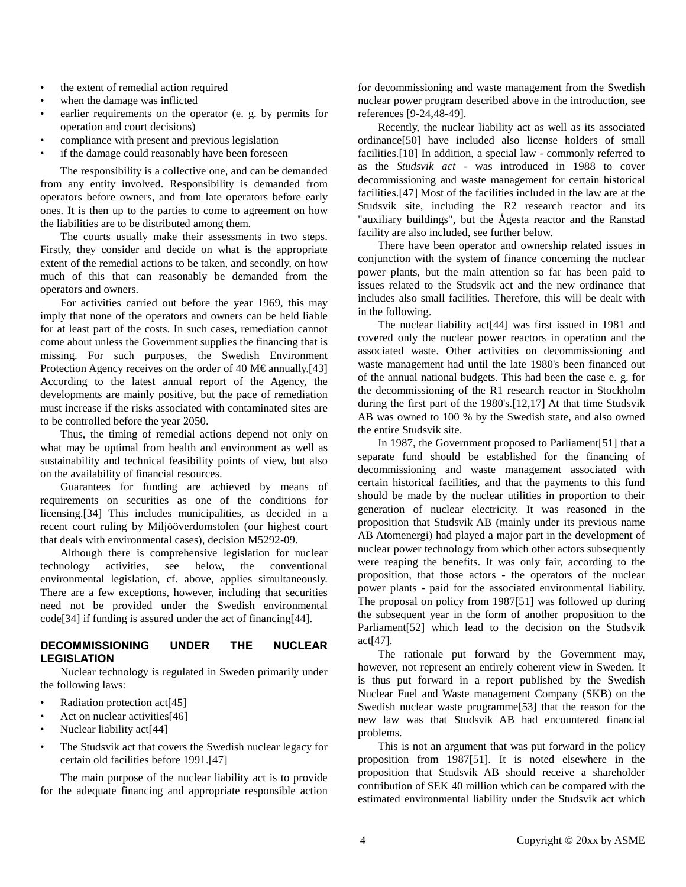- the extent of remedial action required
- when the damage was inflicted
- earlier requirements on the operator (e. g. by permits for operation and court decisions)
- compliance with present and previous legislation
- if the damage could reasonably have been foreseen

The responsibility is a collective one, and can be demanded from any entity involved. Responsibility is demanded from operators before owners, and from late operators before early ones. It is then up to the parties to come to agreement on how the liabilities are to be distributed among them.

The courts usually make their assessments in two steps. Firstly, they consider and decide on what is the appropriate extent of the remedial actions to be taken, and secondly, on how much of this that can reasonably be demanded from the operators and owners.

For activities carried out before the year 1969, this may imply that none of the operators and owners can be held liable for at least part of the costs. In such cases, remediation cannot come about unless the Government supplies the financing that is missing. For such purposes, the Swedish Environment Protection Agency receives on the order of 40 M€ annually.[43] According to the latest annual report of the Agency, the developments are mainly positive, but the pace of remediation must increase if the risks associated with contaminated sites are to be controlled before the year 2050.

Thus, the timing of remedial actions depend not only on what may be optimal from health and environment as well as sustainability and technical feasibility points of view, but also on the availability of financial resources.

Guarantees for funding are achieved by means of requirements on securities as one of the conditions for licensing.[34] This includes municipalities, as decided in a recent court ruling by Miljööverdomstolen (our highest court that deals with environmental cases), decision M5292-09.

Although there is comprehensive legislation for nuclear technology activities, see below, the conventional environmental legislation, cf. above, applies simultaneously. There are a few exceptions, however, including that securities need not be provided under the Swedish environmental code[34] if funding is assured under the act of financing[44].

# **DECOMMISSIONING UNDER THE NUCLEAR LEGISLATION**

Nuclear technology is regulated in Sweden primarily under the following laws:

- Radiation protection act<sup>[45]</sup>
- Act on nuclear activities[46]
- Nuclear liability act<sup>[44]</sup>
- The Studsvik act that covers the Swedish nuclear legacy for certain old facilities before 1991.[47]

The main purpose of the nuclear liability act is to provide for the adequate financing and appropriate responsible action for decommissioning and waste management from the Swedish nuclear power program described above in the introduction, see references [9-24,48-49].

Recently, the nuclear liability act as well as its associated ordinance[50] have included also license holders of small facilities.[18] In addition, a special law - commonly referred to as the *Studsvik act* - was introduced in 1988 to cover decommissioning and waste management for certain historical facilities.[47] Most of the facilities included in the law are at the Studsvik site, including the R2 research reactor and its "auxiliary buildings", but the Ågesta reactor and the Ranstad facility are also included, see further below.

There have been operator and ownership related issues in conjunction with the system of finance concerning the nuclear power plants, but the main attention so far has been paid to issues related to the Studsvik act and the new ordinance that includes also small facilities. Therefore, this will be dealt with in the following.

The nuclear liability act[44] was first issued in 1981 and covered only the nuclear power reactors in operation and the associated waste. Other activities on decommissioning and waste management had until the late 1980's been financed out of the annual national budgets. This had been the case e. g. for the decommissioning of the R1 research reactor in Stockholm during the first part of the 1980's.[12,17] At that time Studsvik AB was owned to 100 % by the Swedish state, and also owned the entire Studsvik site.

In 1987, the Government proposed to Parliament[51] that a separate fund should be established for the financing of decommissioning and waste management associated with certain historical facilities, and that the payments to this fund should be made by the nuclear utilities in proportion to their generation of nuclear electricity. It was reasoned in the proposition that Studsvik AB (mainly under its previous name AB Atomenergi) had played a major part in the development of nuclear power technology from which other actors subsequently were reaping the benefits. It was only fair, according to the proposition, that those actors - the operators of the nuclear power plants - paid for the associated environmental liability. The proposal on policy from 1987[51] was followed up during the subsequent year in the form of another proposition to the Parliament[52] which lead to the decision on the Studsvik act[47].

The rationale put forward by the Government may, however, not represent an entirely coherent view in Sweden. It is thus put forward in a report published by the Swedish Nuclear Fuel and Waste management Company (SKB) on the Swedish nuclear waste programme[53] that the reason for the new law was that Studsvik AB had encountered financial problems.

This is not an argument that was put forward in the policy proposition from 1987[51]. It is noted elsewhere in the proposition that Studsvik AB should receive a shareholder contribution of SEK 40 million which can be compared with the estimated environmental liability under the Studsvik act which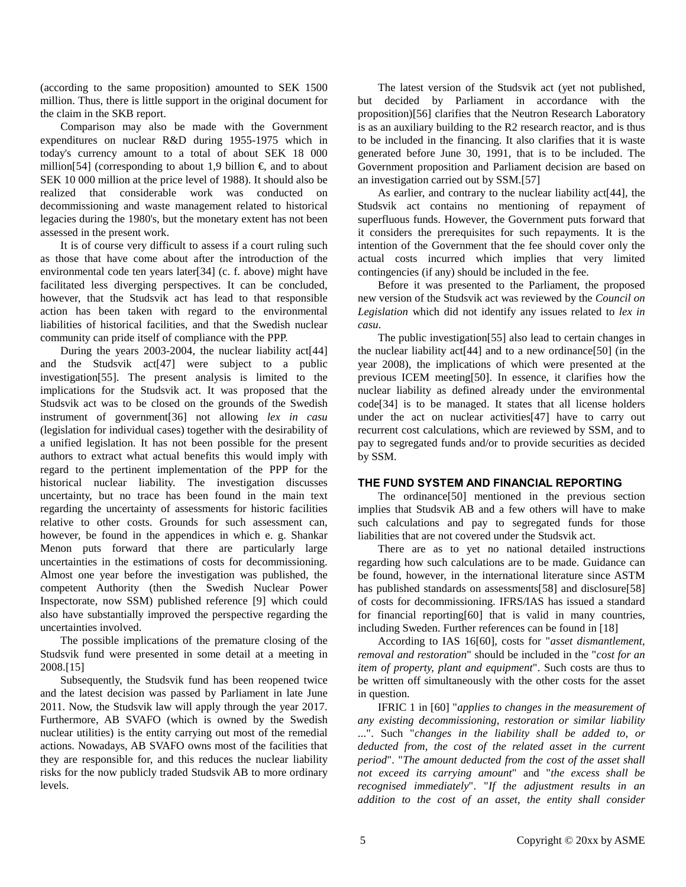(according to the same proposition) amounted to SEK 1500 million. Thus, there is little support in the original document for the claim in the SKB report.

Comparison may also be made with the Government expenditures on nuclear R&D during 1955-1975 which in today's currency amount to a total of about SEK 18 000 million[54] (corresponding to about 1,9 billion  $\epsilon$ , and to about SEK 10 000 million at the price level of 1988). It should also be realized that considerable work was conducted on decommissioning and waste management related to historical legacies during the 1980's, but the monetary extent has not been assessed in the present work.

It is of course very difficult to assess if a court ruling such as those that have come about after the introduction of the environmental code ten years later[34] (c. f. above) might have facilitated less diverging perspectives. It can be concluded, however, that the Studsvik act has lead to that responsible action has been taken with regard to the environmental liabilities of historical facilities, and that the Swedish nuclear community can pride itself of compliance with the PPP.

During the years 2003-2004, the nuclear liability act[44] and the Studsvik act[47] were subject to a public investigation[55]. The present analysis is limited to the implications for the Studsvik act. It was proposed that the Studsvik act was to be closed on the grounds of the Swedish instrument of government[36] not allowing *lex in casu* (legislation for individual cases) together with the desirability of a unified legislation. It has not been possible for the present authors to extract what actual benefits this would imply with regard to the pertinent implementation of the PPP for the historical nuclear liability. The investigation discusses uncertainty, but no trace has been found in the main text regarding the uncertainty of assessments for historic facilities relative to other costs. Grounds for such assessment can, however, be found in the appendices in which e. g. Shankar Menon puts forward that there are particularly large uncertainties in the estimations of costs for decommissioning. Almost one year before the investigation was published, the competent Authority (then the Swedish Nuclear Power Inspectorate, now SSM) published reference [9] which could also have substantially improved the perspective regarding the uncertainties involved.

The possible implications of the premature closing of the Studsvik fund were presented in some detail at a meeting in 2008.[15]

Subsequently, the Studsvik fund has been reopened twice and the latest decision was passed by Parliament in late June 2011. Now, the Studsvik law will apply through the year 2017. Furthermore, AB SVAFO (which is owned by the Swedish nuclear utilities) is the entity carrying out most of the remedial actions. Nowadays, AB SVAFO owns most of the facilities that they are responsible for, and this reduces the nuclear liability risks for the now publicly traded Studsvik AB to more ordinary levels.

The latest version of the Studsvik act (yet not published, but decided by Parliament in accordance with the proposition)[56] clarifies that the Neutron Research Laboratory is as an auxiliary building to the R2 research reactor, and is thus to be included in the financing. It also clarifies that it is waste generated before June 30, 1991, that is to be included. The Government proposition and Parliament decision are based on an investigation carried out by SSM.[57]

As earlier, and contrary to the nuclear liability act<sup>[44]</sup>, the Studsvik act contains no mentioning of repayment of superfluous funds. However, the Government puts forward that it considers the prerequisites for such repayments. It is the intention of the Government that the fee should cover only the actual costs incurred which implies that very limited contingencies (if any) should be included in the fee.

Before it was presented to the Parliament, the proposed new version of the Studsvik act was reviewed by the *Council on Legislation* which did not identify any issues related to *lex in casu*.

The public investigation[55] also lead to certain changes in the nuclear liability act[44] and to a new ordinance[50] (in the year 2008), the implications of which were presented at the previous ICEM meeting[50]. In essence, it clarifies how the nuclear liability as defined already under the environmental code[34] is to be managed. It states that all license holders under the act on nuclear activities[47] have to carry out recurrent cost calculations, which are reviewed by SSM, and to pay to segregated funds and/or to provide securities as decided by SSM.

#### **THE FUND SYSTEM AND FINANCIAL REPORTING**

The ordinance[50] mentioned in the previous section implies that Studsvik AB and a few others will have to make such calculations and pay to segregated funds for those liabilities that are not covered under the Studsvik act.

There are as to yet no national detailed instructions regarding how such calculations are to be made. Guidance can be found, however, in the international literature since ASTM has published standards on assessments[58] and disclosure[58] of costs for decommissioning. IFRS/IAS has issued a standard for financial reporting[60] that is valid in many countries, including Sweden. Further references can be found in [18]

According to IAS 16[60], costs for "*asset dismantlement, removal and restoration*" should be included in the "*cost for an item of property, plant and equipment*". Such costs are thus to be written off simultaneously with the other costs for the asset in question.

IFRIC 1 in [60] "*applies to changes in the measurement of any existing decommissioning, restoration or similar liability* ...". Such "*changes in the liability shall be added to, or deducted from, the cost of the related asset in the current period*". "*The amount deducted from the cost of the asset shall not exceed its carrying amount*" and "*the excess shall be recognised immediately*". "*If the adjustment results in an addition to the cost of an asset, the entity shall consider*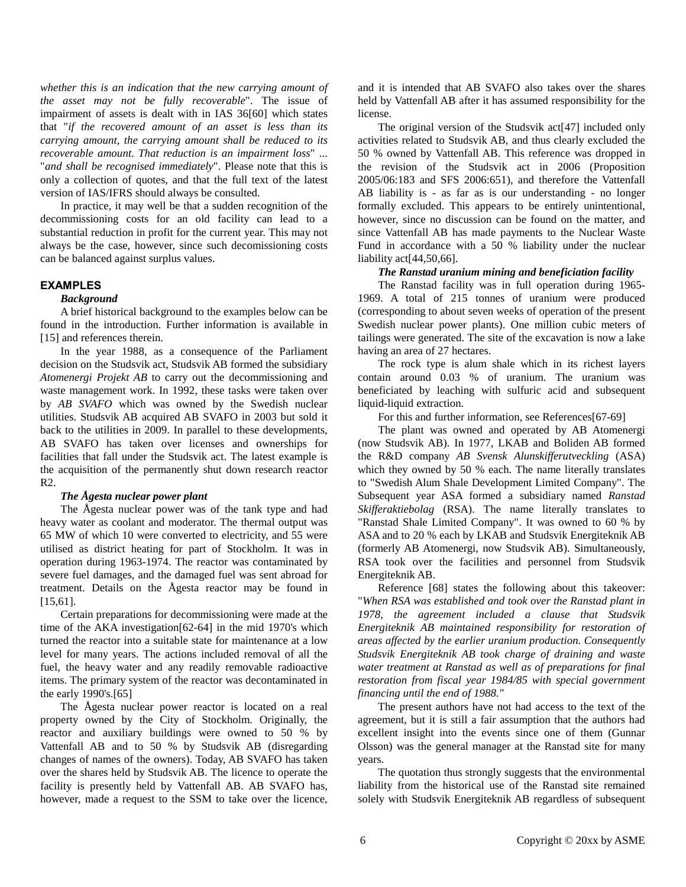*whether this is an indication that the new carrying amount of the asset may not be fully recoverable*". The issue of impairment of assets is dealt with in IAS 36[60] which states that "*if the recovered amount of an asset is less than its carrying amount, the carrying amount shall be reduced to its recoverable amount. That reduction is an impairment loss*" ... "*and shall be recognised immediately*". Please note that this is only a collection of quotes, and that the full text of the latest version of IAS/IFRS should always be consulted.

In practice, it may well be that a sudden recognition of the decommissioning costs for an old facility can lead to a substantial reduction in profit for the current year. This may not always be the case, however, since such decomissioning costs can be balanced against surplus values.

#### **EXAMPLES**

#### *Background*

A brief historical background to the examples below can be found in the introduction. Further information is available in [15] and references therein.

In the year 1988, as a consequence of the Parliament decision on the Studsvik act, Studsvik AB formed the subsidiary *Atomenergi Projekt AB* to carry out the decommissioning and waste management work. In 1992, these tasks were taken over by *AB SVAFO* which was owned by the Swedish nuclear utilities. Studsvik AB acquired AB SVAFO in 2003 but sold it back to the utilities in 2009. In parallel to these developments, AB SVAFO has taken over licenses and ownerships for facilities that fall under the Studsvik act. The latest example is the acquisition of the permanently shut down research reactor R2.

#### *The Ågesta nuclear power plant*

The Ågesta nuclear power was of the tank type and had heavy water as coolant and moderator. The thermal output was 65 MW of which 10 were converted to electricity, and 55 were utilised as district heating for part of Stockholm. It was in operation during 1963-1974. The reactor was contaminated by severe fuel damages, and the damaged fuel was sent abroad for treatment. Details on the Ågesta reactor may be found in [15,61].

Certain preparations for decommissioning were made at the time of the AKA investigation[62-64] in the mid 1970's which turned the reactor into a suitable state for maintenance at a low level for many years. The actions included removal of all the fuel, the heavy water and any readily removable radioactive items. The primary system of the reactor was decontaminated in the early 1990's.[65]

The Ågesta nuclear power reactor is located on a real property owned by the City of Stockholm. Originally, the reactor and auxiliary buildings were owned to 50 % by Vattenfall AB and to 50 % by Studsvik AB (disregarding changes of names of the owners). Today, AB SVAFO has taken over the shares held by Studsvik AB. The licence to operate the facility is presently held by Vattenfall AB. AB SVAFO has, however, made a request to the SSM to take over the licence, and it is intended that AB SVAFO also takes over the shares held by Vattenfall AB after it has assumed responsibility for the license.

The original version of the Studsvik act<sup>[47]</sup> included only activities related to Studsvik AB, and thus clearly excluded the 50 % owned by Vattenfall AB. This reference was dropped in the revision of the Studsvik act in 2006 (Proposition 2005/06:183 and SFS 2006:651), and therefore the Vattenfall AB liability is - as far as is our understanding - no longer formally excluded. This appears to be entirely unintentional, however, since no discussion can be found on the matter, and since Vattenfall AB has made payments to the Nuclear Waste Fund in accordance with a 50 % liability under the nuclear liability act<sup>[44,50,66]</sup>.

### *The Ranstad uranium mining and beneficiation facility*

The Ranstad facility was in full operation during 1965- 1969. A total of 215 tonnes of uranium were produced (corresponding to about seven weeks of operation of the present Swedish nuclear power plants). One million cubic meters of tailings were generated. The site of the excavation is now a lake having an area of 27 hectares.

The rock type is alum shale which in its richest layers contain around 0.03 % of uranium. The uranium was beneficiated by leaching with sulfuric acid and subsequent liquid-liquid extraction.

For this and further information, see References[67-69]

The plant was owned and operated by AB Atomenergi (now Studsvik AB). In 1977, LKAB and Boliden AB formed the R&D company *AB Svensk Alunskifferutveckling* (ASA) which they owned by 50 % each. The name literally translates to "Swedish Alum Shale Development Limited Company". The Subsequent year ASA formed a subsidiary named *Ranstad Skifferaktiebolag* (RSA). The name literally translates to "Ranstad Shale Limited Company". It was owned to 60 % by ASA and to 20 % each by LKAB and Studsvik Energiteknik AB (formerly AB Atomenergi, now Studsvik AB). Simultaneously, RSA took over the facilities and personnel from Studsvik Energiteknik AB.

Reference [68] states the following about this takeover: "*When RSA was established and took over the Ranstad plant in 1978, the agreement included a clause that Studsvik Energiteknik AB maintained responsibility for restoration of areas affected by the earlier uranium production. Consequently Studsvik Energiteknik AB took charge of draining and waste water treatment at Ranstad as well as of preparations for final restoration from fiscal year 1984/85 with special government financing until the end of 1988."*

The present authors have not had access to the text of the agreement, but it is still a fair assumption that the authors had excellent insight into the events since one of them (Gunnar Olsson) was the general manager at the Ranstad site for many years.

The quotation thus strongly suggests that the environmental liability from the historical use of the Ranstad site remained solely with Studsvik Energiteknik AB regardless of subsequent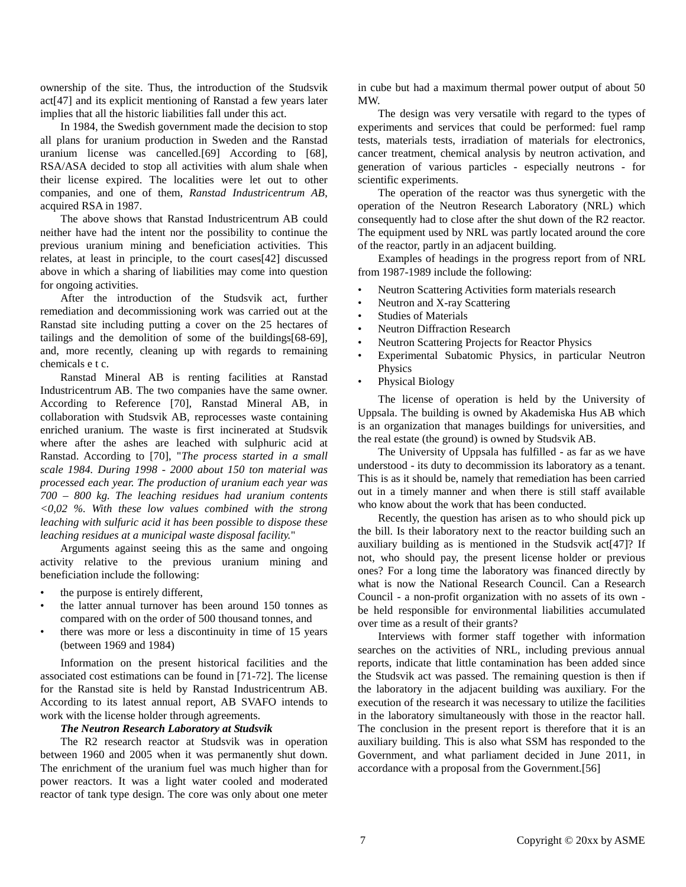ownership of the site. Thus, the introduction of the Studsvik act[47] and its explicit mentioning of Ranstad a few years later implies that all the historic liabilities fall under this act.

In 1984, the Swedish government made the decision to stop all plans for uranium production in Sweden and the Ranstad uranium license was cancelled.[69] According to [68], RSA/ASA decided to stop all activities with alum shale when their license expired. The localities were let out to other companies, and one of them, *Ranstad Industricentrum AB*, acquired RSA in 1987.

The above shows that Ranstad Industricentrum AB could neither have had the intent nor the possibility to continue the previous uranium mining and beneficiation activities. This relates, at least in principle, to the court cases[42] discussed above in which a sharing of liabilities may come into question for ongoing activities.

After the introduction of the Studsvik act, further remediation and decommissioning work was carried out at the Ranstad site including putting a cover on the 25 hectares of tailings and the demolition of some of the buildings[68-69], and, more recently, cleaning up with regards to remaining chemicals e t c.

Ranstad Mineral AB is renting facilities at Ranstad Industricentrum AB. The two companies have the same owner. According to Reference [70], Ranstad Mineral AB, in collaboration with Studsvik AB, reprocesses waste containing enriched uranium. The waste is first incinerated at Studsvik where after the ashes are leached with sulphuric acid at Ranstad. According to [70], "*The process started in a small scale 1984. During 1998 - 2000 about 150 ton material was processed each year. The production of uranium each year was 700 – 800 kg. The leaching residues had uranium contents <0,02 %. With these low values combined with the strong leaching with sulfuric acid it has been possible to dispose these leaching residues at a municipal waste disposal facility.*"

Arguments against seeing this as the same and ongoing activity relative to the previous uranium mining and beneficiation include the following:

- the purpose is entirely different,
- the latter annual turnover has been around 150 tonnes as compared with on the order of 500 thousand tonnes, and
- there was more or less a discontinuity in time of 15 years (between 1969 and 1984)

Information on the present historical facilities and the associated cost estimations can be found in [71-72]. The license for the Ranstad site is held by Ranstad Industricentrum AB. According to its latest annual report, AB SVAFO intends to work with the license holder through agreements.

#### *The Neutron Research Laboratory at Studsvik*

The R2 research reactor at Studsvik was in operation between 1960 and 2005 when it was permanently shut down. The enrichment of the uranium fuel was much higher than for power reactors. It was a light water cooled and moderated reactor of tank type design. The core was only about one meter in cube but had a maximum thermal power output of about 50 MW.

The design was very versatile with regard to the types of experiments and services that could be performed: fuel ramp tests, materials tests, irradiation of materials for electronics, cancer treatment, chemical analysis by neutron activation, and generation of various particles - especially neutrons - for scientific experiments.

The operation of the reactor was thus synergetic with the operation of the Neutron Research Laboratory (NRL) which consequently had to close after the shut down of the R2 reactor. The equipment used by NRL was partly located around the core of the reactor, partly in an adjacent building.

Examples of headings in the progress report from of NRL from 1987-1989 include the following:

- Neutron Scattering Activities form materials research
- Neutron and X-ray Scattering
- Studies of Materials
- **Neutron Diffraction Research**
- Neutron Scattering Projects for Reactor Physics
- Experimental Subatomic Physics, in particular Neutron Physics
- Physical Biology

The license of operation is held by the University of Uppsala. The building is owned by Akademiska Hus AB which is an organization that manages buildings for universities, and the real estate (the ground) is owned by Studsvik AB.

The University of Uppsala has fulfilled - as far as we have understood - its duty to decommission its laboratory as a tenant. This is as it should be, namely that remediation has been carried out in a timely manner and when there is still staff available who know about the work that has been conducted.

Recently, the question has arisen as to who should pick up the bill. Is their laboratory next to the reactor building such an auxiliary building as is mentioned in the Studsvik act[47]? If not, who should pay, the present license holder or previous ones? For a long time the laboratory was financed directly by what is now the National Research Council. Can a Research Council - a non-profit organization with no assets of its own be held responsible for environmental liabilities accumulated over time as a result of their grants?

Interviews with former staff together with information searches on the activities of NRL, including previous annual reports, indicate that little contamination has been added since the Studsvik act was passed. The remaining question is then if the laboratory in the adjacent building was auxiliary. For the execution of the research it was necessary to utilize the facilities in the laboratory simultaneously with those in the reactor hall. The conclusion in the present report is therefore that it is an auxiliary building. This is also what SSM has responded to the Government, and what parliament decided in June 2011, in accordance with a proposal from the Government.[56]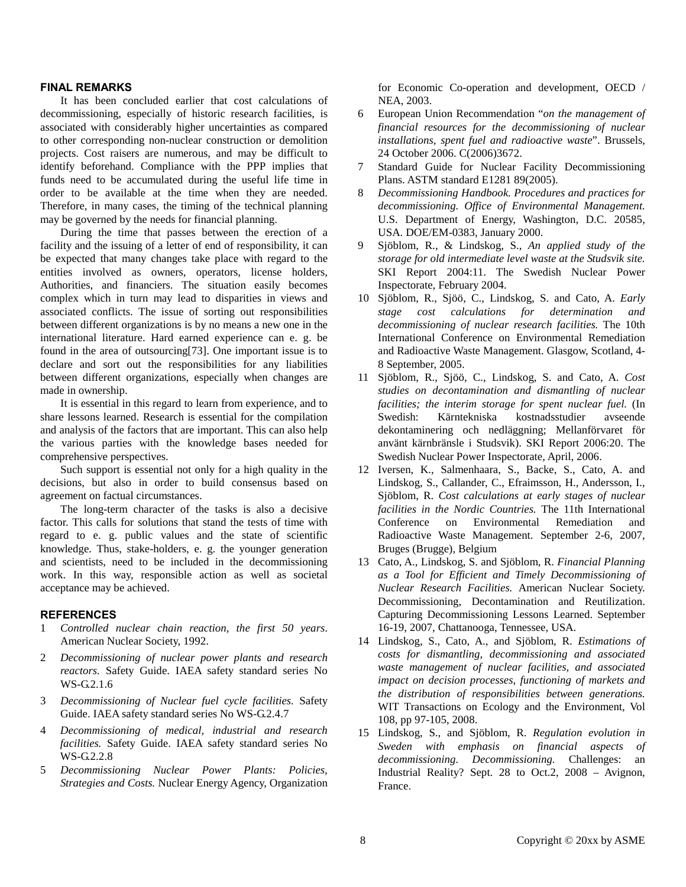# **FINAL REMARKS**

It has been concluded earlier that cost calculations of decommissioning, especially of historic research facilities, is associated with considerably higher uncertainties as compared to other corresponding non-nuclear construction or demolition projects. Cost raisers are numerous, and may be difficult to identify beforehand. Compliance with the PPP implies that funds need to be accumulated during the useful life time in order to be available at the time when they are needed. Therefore, in many cases, the timing of the technical planning may be governed by the needs for financial planning.

During the time that passes between the erection of a facility and the issuing of a letter of end of responsibility, it can be expected that many changes take place with regard to the entities involved as owners, operators, license holders, Authorities, and financiers. The situation easily becomes complex which in turn may lead to disparities in views and associated conflicts. The issue of sorting out responsibilities between different organizations is by no means a new one in the international literature. Hard earned experience can e. g. be found in the area of outsourcing[73]. One important issue is to declare and sort out the responsibilities for any liabilities between different organizations, especially when changes are made in ownership.

It is essential in this regard to learn from experience, and to share lessons learned. Research is essential for the compilation and analysis of the factors that are important. This can also help the various parties with the knowledge bases needed for comprehensive perspectives.

Such support is essential not only for a high quality in the decisions, but also in order to build consensus based on agreement on factual circumstances.

The long-term character of the tasks is also a decisive factor. This calls for solutions that stand the tests of time with regard to e. g. public values and the state of scientific knowledge. Thus, stake-holders, e. g. the younger generation and scientists, need to be included in the decommissioning work. In this way, responsible action as well as societal acceptance may be achieved.

#### **REFERENCES**

- 1 *Controlled nuclear chain reaction, the first 50 years*. American Nuclear Society, 1992.
- 2 *Decommissioning of nuclear power plants and research reactors.* Safety Guide. IAEA safety standard series No WS-G.2.1.6
- 3 *Decommissioning of Nuclear fuel cycle facilities.* Safety Guide. IAEA safety standard series No WS-G.2.4.7
- 4 *Decommissioning of medical, industrial and research facilities.* Safety Guide. IAEA safety standard series No WS-G.2.2.8
- 5 *Decommissioning Nuclear Power Plants: Policies, Strategies and Costs.* Nuclear Energy Agency, Organization

for Economic Co-operation and development, OECD / NEA, 2003.

- 6 European Union Recommendation "*on the management of financial resources for the decommissioning of nuclear installations, spent fuel and radioactive waste*". Brussels, 24 October 2006. C(2006)3672.
- 7 Standard Guide for Nuclear Facility Decommissioning Plans. ASTM standard E1281 89(2005).
- 8 *Decommissioning Handbook. Procedures and practices for decommissioning. Office of Environmental Management.* U.S. Department of Energy, Washington, D.C. 20585, USA. DOE/EM-0383, January 2000.
- 9 Sjöblom, R., & Lindskog, S., *An applied study of the storage for old intermediate level waste at the Studsvik site.* SKI Report 2004:11. The Swedish Nuclear Power Inspectorate, February 2004.
- 10 Sjöblom, R., Sjöö, C., Lindskog, S. and Cato, A. *Early stage cost calculations for determination and decommissioning of nuclear research facilities.* The 10th International Conference on Environmental Remediation and Radioactive Waste Management. Glasgow, Scotland, 4- 8 September, 2005.
- 11 Sjöblom, R., Sjöö, C., Lindskog, S. and Cato, A. *Cost studies on decontamination and dismantling of nuclear facilities; the interim storage for spent nuclear fuel.* (In Swedish: Kärntekniska kostnadsstudier avseende dekontaminering och nedläggning; Mellanförvaret för använt kärnbränsle i Studsvik). SKI Report 2006:20. The Swedish Nuclear Power Inspectorate, April, 2006.
- 12 Iversen, K., Salmenhaara, S., Backe, S., Cato, A. and Lindskog, S., Callander, C., Efraimsson, H., Andersson, I., Sjöblom, R. *Cost calculations at early stages of nuclear facilities in the Nordic Countries.* The 11th International Conference on Environmental Remediation and Radioactive Waste Management. September 2-6, 2007, Bruges (Brugge), Belgium
- 13 Cato, A., Lindskog, S. and Sjöblom, R. *Financial Planning as a Tool for Efficient and Timely Decommissioning of Nuclear Research Facilities.* American Nuclear Society. Decommissioning, Decontamination and Reutilization. Capturing Decommissioning Lessons Learned. September 16-19, 2007, Chattanooga, Tennessee, USA.
- 14 Lindskog, S., Cato, A., and Sjöblom, R. *Estimations of costs for dismantling, decommissioning and associated waste management of nuclear facilities, and associated impact on decision processes, functioning of markets and the distribution of responsibilities between generations.*  WIT Transactions on Ecology and the Environment, Vol 108, pp 97-105, 2008.
- 15 Lindskog, S., and Sjöblom, R. *Regulation evolution in Sweden with emphasis on financial aspects of decommissioning. Decommissioning.* Challenges: an Industrial Reality? Sept. 28 to Oct.2, 2008 – Avignon, France.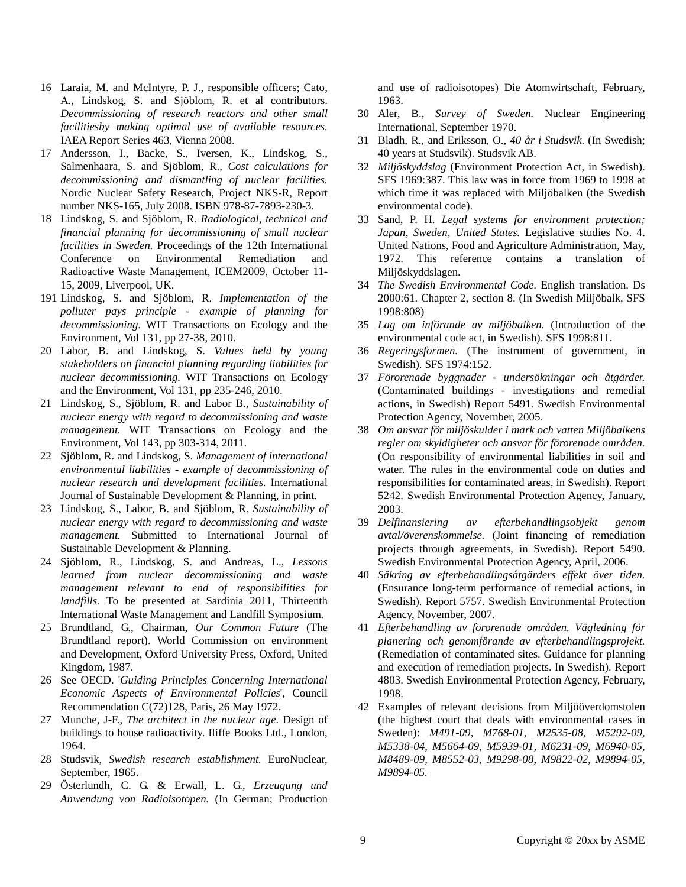- 16 Laraia, M. and McIntyre, P. J., responsible officers; Cato, A., Lindskog, S. and Sjöblom, R. et al contributors. *Decommissioning of research reactors and other small facilitiesby making optimal use of available resources.*  IAEA Report Series 463, Vienna 2008.
- 17 Andersson, I., Backe, S., Iversen, K., Lindskog, S., Salmenhaara, S. and Sjöblom, R.*, Cost calculations for decommissioning and dismantling of nuclear facilities.* Nordic Nuclear Safety Research, Project NKS-R, Report number NKS-165, July 2008. ISBN 978-87-7893-230-3.
- 18 Lindskog, S. and Sjöblom, R. *Radiological, technical and financial planning for decommissioning of small nuclear facilities in Sweden.* Proceedings of the 12th International Conference on Environmental Remediation and Radioactive Waste Management, ICEM2009, October 11- 15, 2009, Liverpool, UK.
- 191 Lindskog, S. and Sjöblom, R. *Implementation of the polluter pays principle - example of planning for decommissioning.* WIT Transactions on Ecology and the Environment, Vol 131, pp 27-38, 2010.
- 20 Labor, B. and Lindskog, S. *Values held by young stakeholders on financial planning regarding liabilities for nuclear decommissioning.* WIT Transactions on Ecology and the Environment, Vol 131, pp 235-246, 2010.
- 21 Lindskog, S., Sjöblom, R. and Labor B., *Sustainability of nuclear energy with regard to decommissioning and waste management.* WIT Transactions on Ecology and the Environment, Vol 143, pp 303-314, 2011.
- 22 Sjöblom, R. and Lindskog, S. *Management of international environmental liabilities - example of decommissioning of nuclear research and development facilities.* International Journal of Sustainable Development & Planning, in print.
- 23 Lindskog, S., Labor, B. and Sjöblom, R. *Sustainability of nuclear energy with regard to decommissioning and waste management.* Submitted to International Journal of Sustainable Development & Planning.
- 24 Sjöblom, R., Lindskog, S. and Andreas, L., *Lessons learned from nuclear decommissioning and waste management relevant to end of responsibilities for landfills.* To be presented at Sardinia 2011, Thirteenth International Waste Management and Landfill Symposium.
- 25 Brundtland, G., Chairman, *Our Common Future* (The Brundtland report). World Commission on environment and Development, Oxford University Press, Oxford, United Kingdom, 1987.
- 26 See OECD. '*Guiding Principles Concerning International Economic Aspects of Environmental Policies*', Council Recommendation C(72)128, Paris, 26 May 1972.
- 27 Munche, J-F., *The architect in the nuclear age*. Design of buildings to house radioactivity. Iliffe Books Ltd., London, 1964.
- 28 Studsvik, *Swedish research establishment.* EuroNuclear, September, 1965.
- 29 Österlundh, C. G. & Erwall, L. G., *Erzeugung und Anwendung von Radioisotopen.* (In German; Production

and use of radioisotopes) Die Atomwirtschaft, February, 1963.

- 30 Aler, B., *Survey of Sweden.* Nuclear Engineering International, September 1970.
- 31 Bladh, R., and Eriksson, O., *40 år i Studsvik*. (In Swedish; 40 years at Studsvik). Studsvik AB.
- 32 *Miljöskyddslag* (Environment Protection Act, in Swedish). SFS 1969:387. This law was in force from 1969 to 1998 at which time it was replaced with Miljöbalken (the Swedish environmental code).
- 33 Sand, P. H. *Legal systems for environment protection; Japan, Sweden, United States.* Legislative studies No. 4. United Nations, Food and Agriculture Administration, May, 1972. This reference contains a translation of Miljöskyddslagen.
- 34 *The Swedish Environmental Code.* English translation. Ds 2000:61. Chapter 2, section 8. (In Swedish Miljöbalk, SFS 1998:808)
- 35 *Lag om införande av miljöbalken.* (Introduction of the environmental code act, in Swedish). SFS 1998:811.
- 36 *Regeringsformen.* (The instrument of government, in Swedish). SFS 1974:152.
- 37 *Förorenade byggnader undersökningar och åtgärder.*  (Contaminated buildings - investigations and remedial actions, in Swedish) Report 5491. Swedish Environmental Protection Agency, November, 2005.
- 38 *Om ansvar för miljöskulder i mark och vatten Miljöbalkens regler om skyldigheter och ansvar för förorenade områden.*  (On responsibility of environmental liabilities in soil and water. The rules in the environmental code on duties and responsibilities for contaminated areas, in Swedish). Report 5242. Swedish Environmental Protection Agency, January, 2003.
- 39 *Delfinansiering av efterbehandlingsobjekt genom avtal/överenskommelse.* (Joint financing of remediation projects through agreements, in Swedish). Report 5490. Swedish Environmental Protection Agency, April, 2006.
- 40 *Säkring av efterbehandlingsåtgärders effekt över tiden.*  (Ensurance long-term performance of remedial actions, in Swedish). Report 5757. Swedish Environmental Protection Agency, November, 2007.
- 41 *Efterbehandling av förorenade områden. Vägledning för planering och genomförande av efterbehandlingsprojekt.*  (Remediation of contaminated sites. Guidance for planning and execution of remediation projects. In Swedish). Report 4803. Swedish Environmental Protection Agency, February, 1998.
- 42 Examples of relevant decisions from Miljööverdomstolen (the highest court that deals with environmental cases in Sweden): *M491-09, M768-01, M2535-08, M5292-09, M5338-04, M5664-09, M5939-01, M6231-09, M6940-05, M8489-09, M8552-03, M9298-08, M9822-02, M9894-05, M9894-05.*